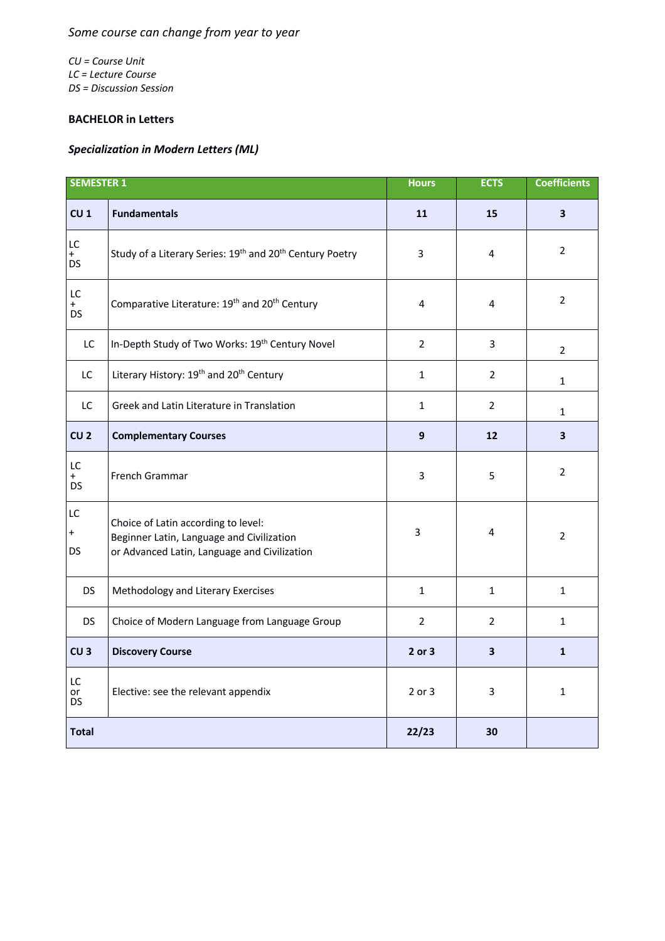## *Some course can change from year to year*

*CU = Course Unit LC = Lecture Course DS = Discussion Session*

## **BACHELOR in Letters**

## *Specialization in Modern Letters (ML)*

| <b>SEMESTER 1</b>                 |                                                                                                                                  | <b>Hours</b>   | <b>ECTS</b>             | <b>Coefficients</b>     |
|-----------------------------------|----------------------------------------------------------------------------------------------------------------------------------|----------------|-------------------------|-------------------------|
| CU <sub>1</sub>                   | <b>Fundamentals</b>                                                                                                              | 11             | 15                      | 3                       |
| LC<br>$\ddot{}$<br><b>DS</b>      | Study of a Literary Series: 19th and 20th Century Poetry                                                                         | 3              | 4                       | $\overline{2}$          |
| $\mathsf{LC}$<br>$+$<br><b>DS</b> | Comparative Literature: 19 <sup>th</sup> and 20 <sup>th</sup> Century                                                            | 4              | 4                       | $\overline{2}$          |
| LC                                | In-Depth Study of Two Works: 19th Century Novel                                                                                  | $\overline{2}$ | 3                       | $\overline{2}$          |
| LC                                | Literary History: 19th and 20th Century                                                                                          | $\mathbf{1}$   | $\overline{2}$          | $\mathbf{1}$            |
| LC.                               | Greek and Latin Literature in Translation                                                                                        | $\mathbf{1}$   | $\overline{2}$          | $\mathbf{1}$            |
| CU <sub>2</sub>                   | <b>Complementary Courses</b>                                                                                                     | 9              | 12                      | $\overline{\mathbf{3}}$ |
| LC<br>$+$<br><b>DS</b>            | French Grammar                                                                                                                   | 3              | 5                       | $\overline{2}$          |
| LC<br>$\ddot{}$<br><b>DS</b>      | Choice of Latin according to level:<br>Beginner Latin, Language and Civilization<br>or Advanced Latin, Language and Civilization | 3              | 4                       | $\overline{2}$          |
| <b>DS</b>                         | Methodology and Literary Exercises                                                                                               | $\mathbf{1}$   | $\mathbf{1}$            | $\mathbf{1}$            |
| <b>DS</b>                         | Choice of Modern Language from Language Group                                                                                    | $\overline{2}$ | $\overline{2}$          | $\mathbf{1}$            |
| CU <sub>3</sub>                   | <b>Discovery Course</b>                                                                                                          | 2 or 3         | $\overline{\mathbf{3}}$ | $\mathbf{1}$            |
| LC<br>or<br>DS.                   | Elective: see the relevant appendix                                                                                              | $2$ or $3$     | 3                       | $\mathbf{1}$            |
| <b>Total</b>                      |                                                                                                                                  | 22/23          | 30                      |                         |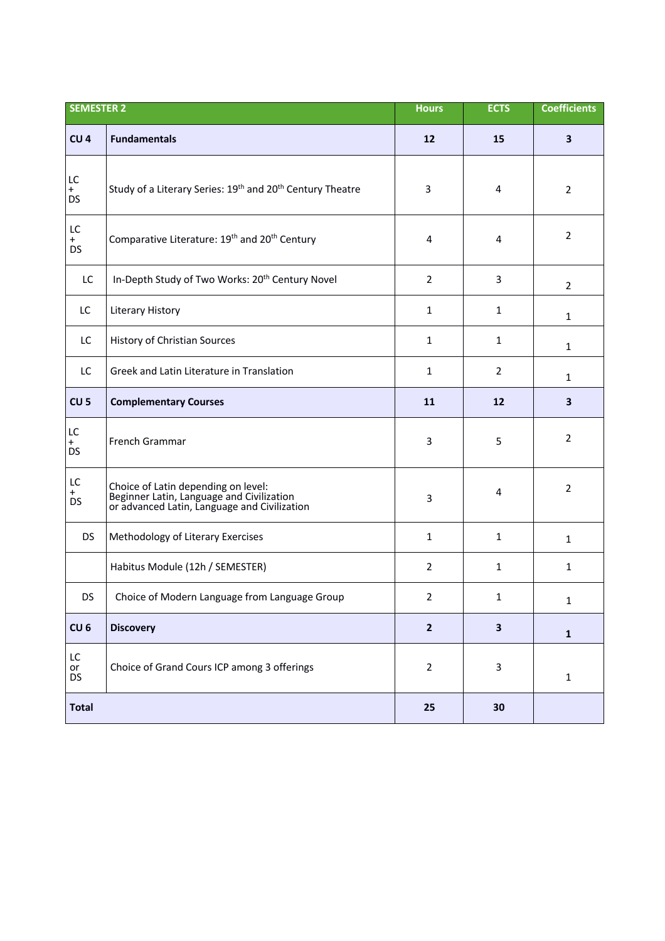| <b>SEMESTER 2</b>         |                                                                                                                                  | <b>Hours</b>   | <b>ECTS</b>             | <b>Coefficients</b>     |
|---------------------------|----------------------------------------------------------------------------------------------------------------------------------|----------------|-------------------------|-------------------------|
| CU <sub>4</sub>           | <b>Fundamentals</b>                                                                                                              | 12             | 15                      | $\overline{\mathbf{3}}$ |
| LC<br>$^{+}$<br><b>DS</b> | Study of a Literary Series: 19 <sup>th</sup> and 20 <sup>th</sup> Century Theatre                                                | 3              | 4                       | $\overline{2}$          |
| LC<br>$+$<br><b>DS</b>    | Comparative Literature: 19 <sup>th</sup> and 20 <sup>th</sup> Century                                                            | 4              | 4                       | $\overline{2}$          |
| LC                        | In-Depth Study of Two Works: 20 <sup>th</sup> Century Novel                                                                      | $\overline{2}$ | 3                       | $\overline{2}$          |
| LC                        | Literary History                                                                                                                 | $\mathbf{1}$   | $\mathbf{1}$            | $\mathbf{1}$            |
| LC                        | History of Christian Sources                                                                                                     | $\mathbf{1}$   | $\mathbf{1}$            | $\mathbf{1}$            |
| LC                        | Greek and Latin Literature in Translation                                                                                        | $\mathbf{1}$   | $\overline{2}$          | $\mathbf{1}$            |
| CU <sub>5</sub>           | <b>Complementary Courses</b>                                                                                                     | 11             | 12                      | $\overline{\mathbf{3}}$ |
| LC.<br>$+$<br><b>DS</b>   | French Grammar                                                                                                                   | 3              | 5                       | $\overline{2}$          |
| LC<br>$^+$<br><b>DS</b>   | Choice of Latin depending on level:<br>Beginner Latin, Language and Civilization<br>or advanced Latin, Language and Civilization | 3              | 4                       | $\overline{2}$          |
| <b>DS</b>                 | Methodology of Literary Exercises                                                                                                | $\mathbf{1}$   | $\mathbf{1}$            | $\mathbf{1}$            |
|                           | Habitus Module (12h / SEMESTER)                                                                                                  | $\overline{2}$ | $\mathbf{1}$            | $\mathbf{1}$            |
| <b>DS</b>                 | Choice of Modern Language from Language Group                                                                                    | $\overline{2}$ | 1                       | $\mathbf{1}$            |
| CU <sub>6</sub>           | <b>Discovery</b>                                                                                                                 | $\overline{2}$ | $\overline{\mathbf{3}}$ | $\mathbf 1$             |
| LC<br>or<br><b>DS</b>     | Choice of Grand Cours ICP among 3 offerings                                                                                      | $\overline{2}$ | 3                       | $\mathbf{1}$            |
| <b>Total</b>              |                                                                                                                                  | 25             | 30                      |                         |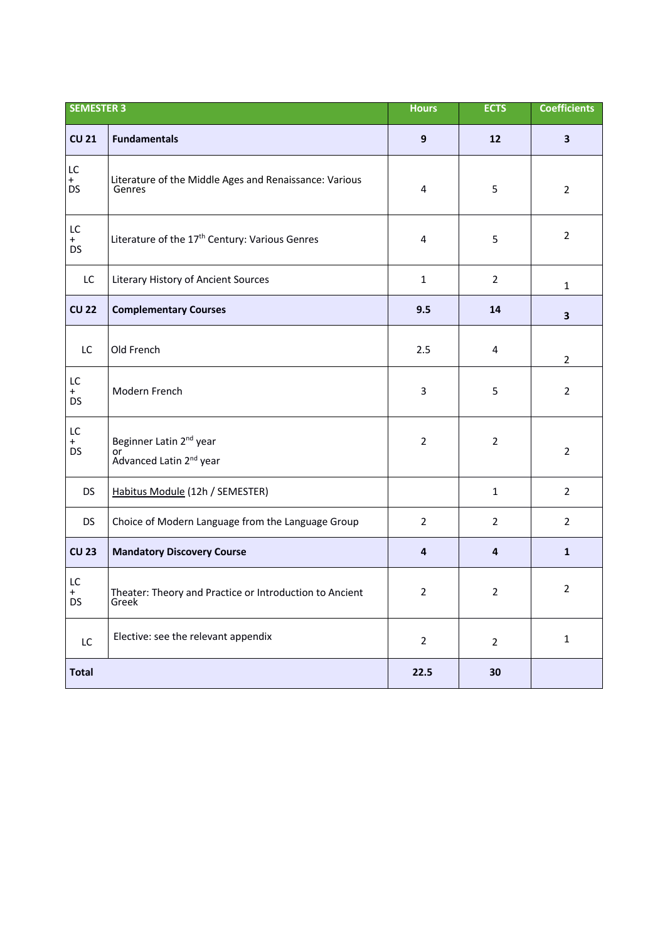| <b>SEMESTER 3</b>      |                                                                                  | <b>Hours</b>            | <b>ECTS</b>    | <b>Coefficients</b>     |
|------------------------|----------------------------------------------------------------------------------|-------------------------|----------------|-------------------------|
| <b>CU 21</b>           | <b>Fundamentals</b>                                                              | $\mathbf{9}$            | 12             | $\overline{\mathbf{3}}$ |
| LC<br>$+$<br><b>DS</b> | Literature of the Middle Ages and Renaissance: Various<br>Genres                 | 4                       | 5              | $\overline{2}$          |
| LC<br>$+$<br><b>DS</b> | Literature of the 17 <sup>th</sup> Century: Various Genres                       | $\overline{4}$          | 5              | $\overline{2}$          |
| LC                     | Literary History of Ancient Sources                                              | $\mathbf{1}$            | $\overline{2}$ | $\mathbf{1}$            |
| <b>CU 22</b>           | <b>Complementary Courses</b>                                                     | 9.5                     | 14             | $\overline{\mathbf{3}}$ |
| LC                     | Old French                                                                       | 2.5                     | 4              | $\overline{2}$          |
| LC<br>$+$<br><b>DS</b> | Modern French                                                                    | 3                       | 5              | $\overline{2}$          |
| LC<br>$+$<br><b>DS</b> | Beginner Latin 2 <sup>nd</sup> year<br>or<br>Advanced Latin 2 <sup>nd</sup> year | $\mathbf{2}$            | $\overline{2}$ | $\overline{2}$          |
| <b>DS</b>              | Habitus Module (12h / SEMESTER)                                                  |                         | $\mathbf{1}$   | $\overline{2}$          |
| <b>DS</b>              | Choice of Modern Language from the Language Group                                | $\overline{2}$          | $\overline{2}$ | $\overline{2}$          |
| <b>CU 23</b>           | <b>Mandatory Discovery Course</b>                                                | $\overline{\mathbf{a}}$ | $\overline{4}$ | $\mathbf{1}$            |
| LC<br>$\ddot{}$<br>DS  | Theater: Theory and Practice or Introduction to Ancient<br>Greek                 | $\overline{2}$          | $\overline{2}$ | $\overline{2}$          |
| <b>LC</b>              | Elective: see the relevant appendix                                              | $\overline{2}$          | $\overline{2}$ | $\mathbf{1}$            |
| <b>Total</b>           |                                                                                  | 22.5                    | 30             |                         |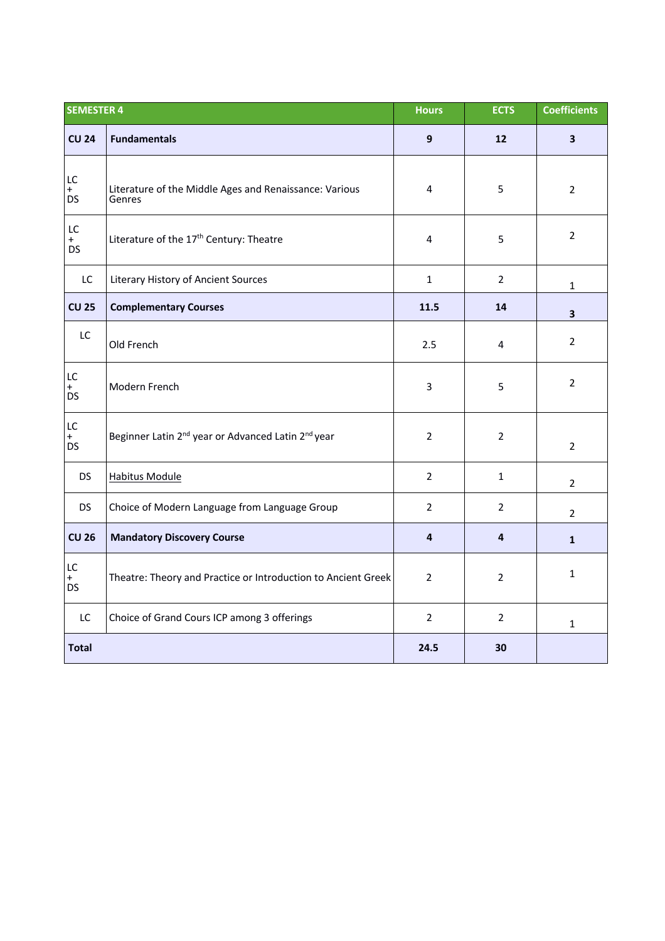| <b>SEMESTER 4</b>      |                                                                            | <b>Hours</b>     | <b>ECTS</b>    | <b>Coefficients</b>     |
|------------------------|----------------------------------------------------------------------------|------------------|----------------|-------------------------|
| <b>CU 24</b>           | <b>Fundamentals</b>                                                        | $\boldsymbol{9}$ | 12             | $\overline{\mathbf{3}}$ |
| LC<br>$+$<br><b>DS</b> | Literature of the Middle Ages and Renaissance: Various<br>Genres           | 4                | 5              | $\overline{2}$          |
| LC<br>$+$<br><b>DS</b> | Literature of the 17 <sup>th</sup> Century: Theatre                        | 4                | 5              | $\overline{2}$          |
| LC                     | Literary History of Ancient Sources                                        | $\mathbf{1}$     | $\overline{2}$ | $\mathbf{1}$            |
| <b>CU 25</b>           | <b>Complementary Courses</b>                                               | 11.5             | 14             | $\overline{\mathbf{3}}$ |
| LC                     | Old French                                                                 | 2.5              | 4              | $\overline{2}$          |
| LC<br>$+$<br>DS        | Modern French                                                              | 3                | 5              | $\overline{2}$          |
| LC<br>$+$<br><b>DS</b> | Beginner Latin 2 <sup>nd</sup> year or Advanced Latin 2 <sup>nd</sup> year | $\overline{2}$   | $\overline{2}$ | $\overline{2}$          |
| <b>DS</b>              | <b>Habitus Module</b>                                                      | $\overline{2}$   | $\mathbf{1}$   | $\overline{2}$          |
| <b>DS</b>              | Choice of Modern Language from Language Group                              | $\overline{2}$   | $\overline{2}$ | $\overline{2}$          |
| <b>CU 26</b>           | <b>Mandatory Discovery Course</b>                                          | 4                | 4              | $\mathbf{1}$            |
| LC<br>$+$<br><b>DS</b> | Theatre: Theory and Practice or Introduction to Ancient Greek              | $\overline{2}$   | $\overline{2}$ | $\mathbf{1}$            |
| LC                     | Choice of Grand Cours ICP among 3 offerings                                | $\overline{2}$   | $\overline{2}$ | $\mathbf{1}$            |
| <b>Total</b>           |                                                                            | 24.5             | 30             |                         |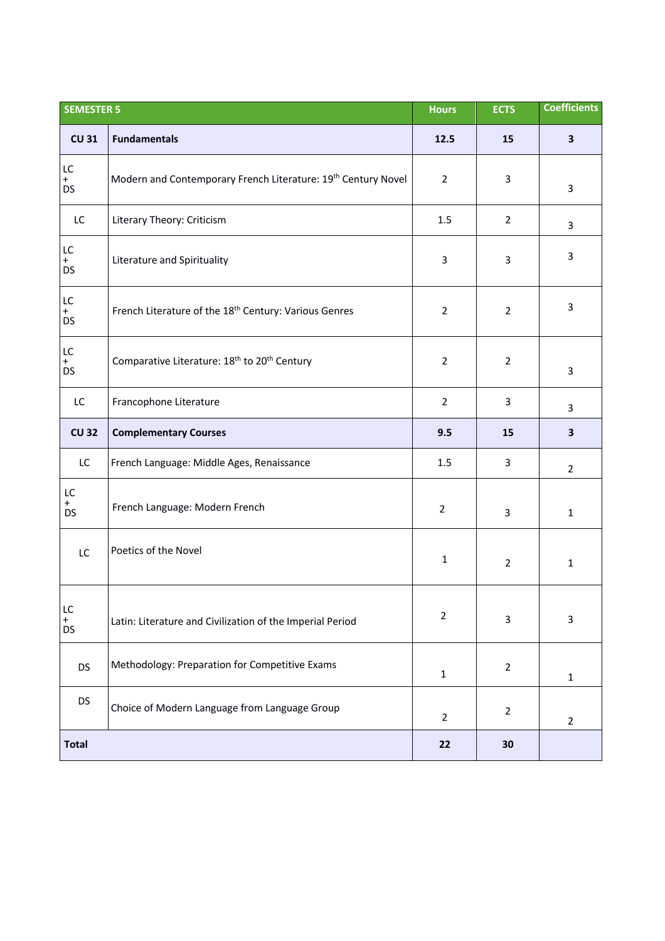| <b>SEMESTER 5</b>            |                                                                           | <b>Hours</b>   | <b>ECTS</b>             | <b>Coefficients</b>     |
|------------------------------|---------------------------------------------------------------------------|----------------|-------------------------|-------------------------|
| <b>CU 31</b>                 | <b>Fundamentals</b>                                                       | 12.5           | 15                      | $\overline{\mathbf{3}}$ |
| LC<br>$+$<br><b>DS</b>       | Modern and Contemporary French Literature: 19 <sup>th</sup> Century Novel | $\overline{2}$ | 3                       | 3                       |
| LC                           | Literary Theory: Criticism                                                | 1.5            | $\overline{2}$          | 3                       |
| LC<br>$+$<br><b>DS</b>       | Literature and Spirituality                                               | $\overline{3}$ | 3                       | 3                       |
| LC<br>$^{+}$<br><b>DS</b>    | French Literature of the 18 <sup>th</sup> Century: Various Genres         | $\overline{2}$ | $\overline{2}$          | 3                       |
| LC<br>$+$<br><b>DS</b>       | Comparative Literature: 18 <sup>th</sup> to 20 <sup>th</sup> Century      | $\overline{2}$ | $\overline{2}$          | 3                       |
| LC                           | Francophone Literature                                                    | $\overline{2}$ | $\overline{\mathbf{3}}$ | 3                       |
| <b>CU 32</b>                 | <b>Complementary Courses</b>                                              | 9.5            | 15                      | 3                       |
| LC                           | French Language: Middle Ages, Renaissance                                 | 1.5            | 3                       | $\overline{2}$          |
| LC<br>$_{DS}^+$              | French Language: Modern French                                            | $\overline{2}$ | 3                       | $\mathbf{1}$            |
| LC                           | Poetics of the Novel                                                      | $\mathbf{1}$   | $\overline{2}$          | $\mathbf{1}$            |
| LC<br>$\ddot{}$<br><b>DS</b> | Latin: Literature and Civilization of the Imperial Period                 | $\overline{2}$ | 3                       | 3                       |
| <b>DS</b>                    | Methodology: Preparation for Competitive Exams                            | $\mathbf 1$    | $\overline{2}$          | $\mathbf{1}$            |
| <b>DS</b>                    | Choice of Modern Language from Language Group                             | $\overline{2}$ | $\overline{2}$          | $\overline{2}$          |
| <b>Total</b>                 |                                                                           | 22             | 30                      |                         |